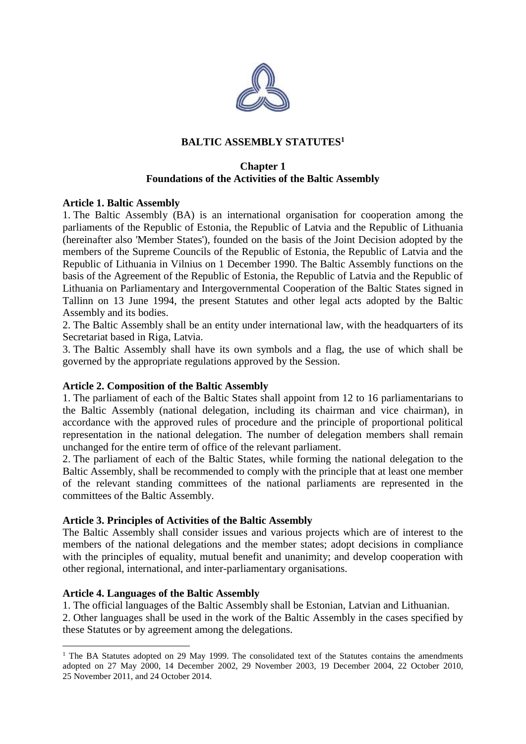

# **BALTIC ASSEMBLY STATUTES<sup>1</sup>**

### **Chapter 1 Foundations of the Activities of the Baltic Assembly**

### **Article 1. Baltic Assembly**

1. The Baltic Assembly (BA) is an international organisation for cooperation among the parliaments of the Republic of Estonia, the Republic of Latvia and the Republic of Lithuania (hereinafter also 'Member States'), founded on the basis of the Joint Decision adopted by the members of the Supreme Councils of the Republic of Estonia, the Republic of Latvia and the Republic of Lithuania in Vilnius on 1 December 1990. The Baltic Assembly functions on the basis of the Agreement of the Republic of Estonia, the Republic of Latvia and the Republic of Lithuania on Parliamentary and Intergovernmental Cooperation of the Baltic States signed in Tallinn on 13 June 1994, the present Statutes and other legal acts adopted by the Baltic Assembly and its bodies.

2. The Baltic Assembly shall be an entity under international law, with the headquarters of its Secretariat based in Riga, Latvia.

3. The Baltic Assembly shall have its own symbols and a flag, the use of which shall be governed by the appropriate regulations approved by the Session.

### **Article 2. Composition of the Baltic Assembly**

1. The parliament of each of the Baltic States shall appoint from 12 to 16 parliamentarians to the Baltic Assembly (national delegation, including its chairman and vice chairman), in accordance with the approved rules of procedure and the principle of proportional political representation in the national delegation. The number of delegation members shall remain unchanged for the entire term of office of the relevant parliament.

2. The parliament of each of the Baltic States, while forming the national delegation to the Baltic Assembly, shall be recommended to comply with the principle that at least one member of the relevant standing committees of the national parliaments are represented in the committees of the Baltic Assembly.

### **Article 3. Principles of Activities of the Baltic Assembly**

The Baltic Assembly shall consider issues and various projects which are of interest to the members of the national delegations and the member states; adopt decisions in compliance with the principles of equality, mutual benefit and unanimity; and develop cooperation with other regional, international, and inter-parliamentary organisations.

### **Article 4. Languages of the Baltic Assembly**

 $\overline{a}$ 

1. The official languages of the Baltic Assembly shall be Estonian, Latvian and Lithuanian.

2. Other languages shall be used in the work of the Baltic Assembly in the cases specified by these Statutes or by agreement among the delegations.

<sup>&</sup>lt;sup>1</sup> The BA Statutes adopted on 29 May 1999. The consolidated text of the Statutes contains the amendments adopted on 27 May 2000, 14 December 2002, 29 November 2003, 19 December 2004, 22 October 2010, 25 November 2011, and 24 October 2014.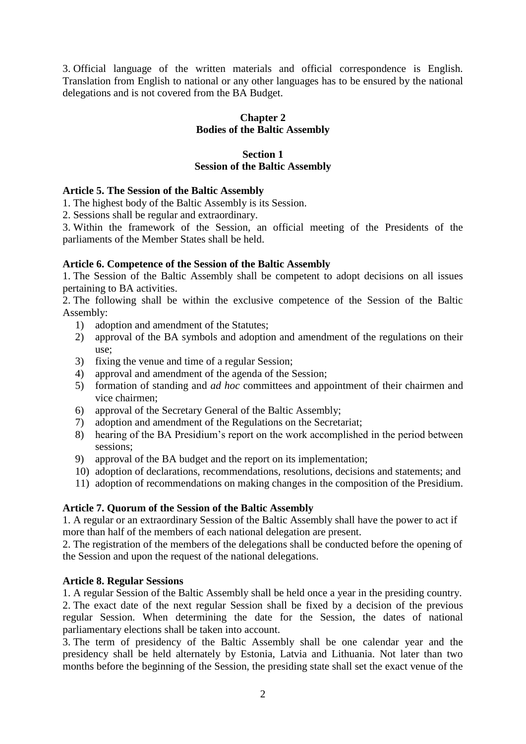3. Official language of the written materials and official correspondence is English. Translation from English to national or any other languages has to be ensured by the national delegations and is not covered from the BA Budget.

# **Chapter 2 Bodies of the Baltic Assembly**

# **Section 1 Session of the Baltic Assembly**

## **Article 5. The Session of the Baltic Assembly**

1. The highest body of the Baltic Assembly is its Session.

2. Sessions shall be regular and extraordinary.

3. Within the framework of the Session, an official meeting of the Presidents of the parliaments of the Member States shall be held.

## **Article 6. Competence of the Session of the Baltic Assembly**

1. The Session of the Baltic Assembly shall be competent to adopt decisions on all issues pertaining to BA activities.

2. The following shall be within the exclusive competence of the Session of the Baltic Assembly:

- 1) adoption and amendment of the Statutes;
- 2) approval of the BA symbols and adoption and amendment of the regulations on their use;
- 3) fixing the venue and time of a regular Session;
- 4) approval and amendment of the agenda of the Session;
- 5) formation of standing and *ad hoc* committees and appointment of their chairmen and vice chairmen;
- 6) approval of the Secretary General of the Baltic Assembly;
- 7) adoption and amendment of the Regulations on the Secretariat;
- 8) hearing of the BA Presidium's report on the work accomplished in the period between sessions;
- 9) approval of the BA budget and the report on its implementation;
- 10) adoption of declarations, recommendations, resolutions, decisions and statements; and
- 11) adoption of recommendations on making changes in the composition of the Presidium.

### **Article 7. Quorum of the Session of the Baltic Assembly**

1. A regular or an extraordinary Session of the Baltic Assembly shall have the power to act if more than half of the members of each national delegation are present.

2. The registration of the members of the delegations shall be conducted before the opening of the Session and upon the request of the national delegations.

### **Article 8. Regular Sessions**

1. A regular Session of the Baltic Assembly shall be held once a year in the presiding country. 2. The exact date of the next regular Session shall be fixed by a decision of the previous regular Session. When determining the date for the Session, the dates of national parliamentary elections shall be taken into account.

3. The term of presidency of the Baltic Assembly shall be one calendar year and the presidency shall be held alternately by Estonia, Latvia and Lithuania. Not later than two months before the beginning of the Session, the presiding state shall set the exact venue of the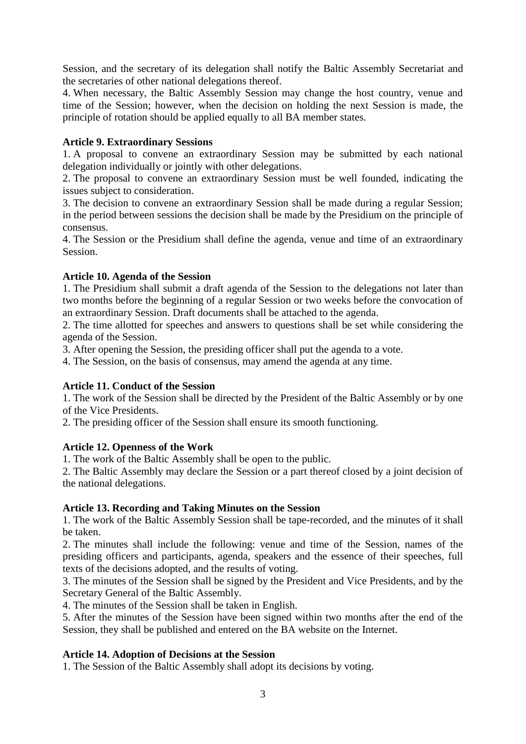Session, and the secretary of its delegation shall notify the Baltic Assembly Secretariat and the secretaries of other national delegations thereof.

4. When necessary, the Baltic Assembly Session may change the host country, venue and time of the Session; however, when the decision on holding the next Session is made, the principle of rotation should be applied equally to all BA member states.

# **Article 9. Extraordinary Sessions**

1. A proposal to convene an extraordinary Session may be submitted by each national delegation individually or jointly with other delegations.

2. The proposal to convene an extraordinary Session must be well founded, indicating the issues subject to consideration.

3. The decision to convene an extraordinary Session shall be made during a regular Session; in the period between sessions the decision shall be made by the Presidium on the principle of consensus.

4. The Session or the Presidium shall define the agenda, venue and time of an extraordinary Session.

## **Article 10. Agenda of the Session**

1. The Presidium shall submit a draft agenda of the Session to the delegations not later than two months before the beginning of a regular Session or two weeks before the convocation of an extraordinary Session. Draft documents shall be attached to the agenda.

2. The time allotted for speeches and answers to questions shall be set while considering the agenda of the Session.

3. After opening the Session, the presiding officer shall put the agenda to a vote.

4. The Session, on the basis of consensus, may amend the agenda at any time.

### **Article 11. Conduct of the Session**

1. The work of the Session shall be directed by the President of the Baltic Assembly or by one of the Vice Presidents.

2. The presiding officer of the Session shall ensure its smooth functioning.

### **Article 12. Openness of the Work**

1. The work of the Baltic Assembly shall be open to the public.

2. The Baltic Assembly may declare the Session or a part thereof closed by a joint decision of the national delegations.

### **Article 13. Recording and Taking Minutes on the Session**

1. The work of the Baltic Assembly Session shall be tape-recorded, and the minutes of it shall be taken.

2. The minutes shall include the following: venue and time of the Session, names of the presiding officers and participants, agenda, speakers and the essence of their speeches, full texts of the decisions adopted, and the results of voting.

3. The minutes of the Session shall be signed by the President and Vice Presidents, and by the Secretary General of the Baltic Assembly.

4. The minutes of the Session shall be taken in English.

5. After the minutes of the Session have been signed within two months after the end of the Session, they shall be published and entered on the BA website on the Internet.

### **Article 14. Adoption of Decisions at the Session**

1. The Session of the Baltic Assembly shall adopt its decisions by voting.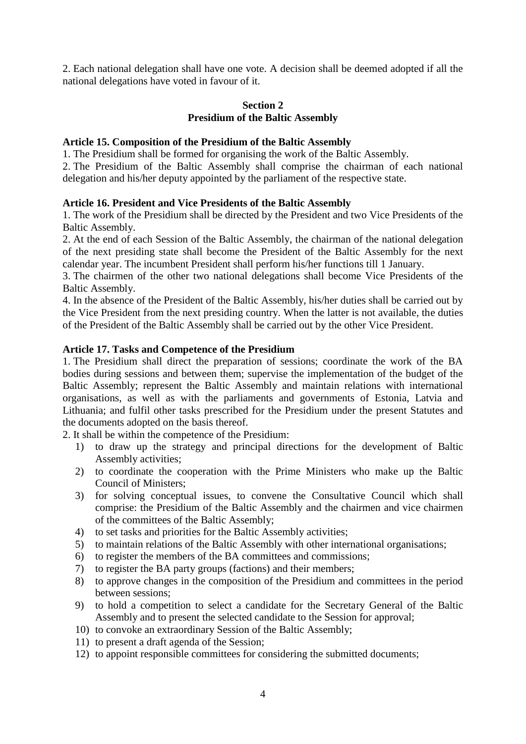2. Each national delegation shall have one vote. A decision shall be deemed adopted if all the national delegations have voted in favour of it.

### **Section 2 Presidium of the Baltic Assembly**

### **Article 15. Composition of the Presidium of the Baltic Assembly**

1. The Presidium shall be formed for organising the work of the Baltic Assembly.

2. The Presidium of the Baltic Assembly shall comprise the chairman of each national delegation and his/her deputy appointed by the parliament of the respective state.

#### **Article 16. President and Vice Presidents of the Baltic Assembly**

1. The work of the Presidium shall be directed by the President and two Vice Presidents of the Baltic Assembly.

2. At the end of each Session of the Baltic Assembly, the chairman of the national delegation of the next presiding state shall become the President of the Baltic Assembly for the next calendar year. The incumbent President shall perform his/her functions till 1 January.

3. The chairmen of the other two national delegations shall become Vice Presidents of the Baltic Assembly.

4. In the absence of the President of the Baltic Assembly, his/her duties shall be carried out by the Vice President from the next presiding country. When the latter is not available, the duties of the President of the Baltic Assembly shall be carried out by the other Vice President.

#### **Article 17. Tasks and Competence of the Presidium**

1. The Presidium shall direct the preparation of sessions; coordinate the work of the BA bodies during sessions and between them; supervise the implementation of the budget of the Baltic Assembly; represent the Baltic Assembly and maintain relations with international organisations, as well as with the parliaments and governments of Estonia, Latvia and Lithuania; and fulfil other tasks prescribed for the Presidium under the present Statutes and the documents adopted on the basis thereof.

2. It shall be within the competence of the Presidium:

- 1) to draw up the strategy and principal directions for the development of Baltic Assembly activities;
- 2) to coordinate the cooperation with the Prime Ministers who make up the Baltic Council of Ministers;
- 3) for solving conceptual issues, to convene the Consultative Council which shall comprise: the Presidium of the Baltic Assembly and the chairmen and vice chairmen of the committees of the Baltic Assembly;
- 4) to set tasks and priorities for the Baltic Assembly activities;
- 5) to maintain relations of the Baltic Assembly with other international organisations;
- 6) to register the members of the BA committees and commissions;
- 7) to register the BA party groups (factions) and their members;
- 8) to approve changes in the composition of the Presidium and committees in the period between sessions;
- 9) to hold a competition to select a candidate for the Secretary General of the Baltic Assembly and to present the selected candidate to the Session for approval;
- 10) to convoke an extraordinary Session of the Baltic Assembly;
- 11) to present a draft agenda of the Session;
- 12) to appoint responsible committees for considering the submitted documents;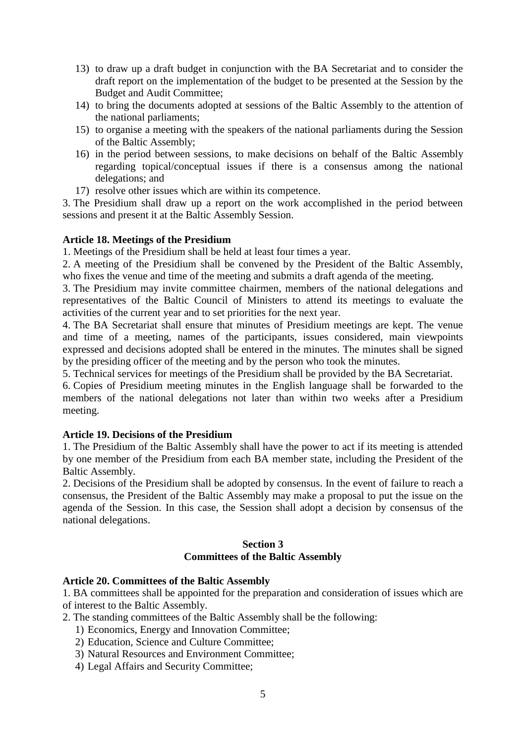- 13) to draw up a draft budget in conjunction with the BA Secretariat and to consider the draft report on the implementation of the budget to be presented at the Session by the Budget and Audit Committee;
- 14) to bring the documents adopted at sessions of the Baltic Assembly to the attention of the national parliaments;
- 15) to organise a meeting with the speakers of the national parliaments during the Session of the Baltic Assembly;
- 16) in the period between sessions, to make decisions on behalf of the Baltic Assembly regarding topical/conceptual issues if there is a consensus among the national delegations; and
- 17) resolve other issues which are within its competence.

3. The Presidium shall draw up a report on the work accomplished in the period between sessions and present it at the Baltic Assembly Session.

### **Article 18. Meetings of the Presidium**

1. Meetings of the Presidium shall be held at least four times a year.

2. A meeting of the Presidium shall be convened by the President of the Baltic Assembly, who fixes the venue and time of the meeting and submits a draft agenda of the meeting.

3. The Presidium may invite committee chairmen, members of the national delegations and representatives of the Baltic Council of Ministers to attend its meetings to evaluate the activities of the current year and to set priorities for the next year.

4. The BA Secretariat shall ensure that minutes of Presidium meetings are kept. The venue and time of a meeting, names of the participants, issues considered, main viewpoints expressed and decisions adopted shall be entered in the minutes. The minutes shall be signed by the presiding officer of the meeting and by the person who took the minutes.

5. Technical services for meetings of the Presidium shall be provided by the BA Secretariat.

6. Copies of Presidium meeting minutes in the English language shall be forwarded to the members of the national delegations not later than within two weeks after a Presidium meeting.

# **Article 19. Decisions of the Presidium**

1. The Presidium of the Baltic Assembly shall have the power to act if its meeting is attended by one member of the Presidium from each BA member state, including the President of the Baltic Assembly.

2. Decisions of the Presidium shall be adopted by consensus. In the event of failure to reach a consensus, the President of the Baltic Assembly may make a proposal to put the issue on the agenda of the Session. In this case, the Session shall adopt a decision by consensus of the national delegations.

## **Section 3 Committees of the Baltic Assembly**

### **Article 20. Committees of the Baltic Assembly**

1. BA committees shall be appointed for the preparation and consideration of issues which are of interest to the Baltic Assembly.

- 2. The standing committees of the Baltic Assembly shall be the following:
	- 1) Economics, Energy and Innovation Committee;
	- 2) Education, Science and Culture Committee;
	- 3) Natural Resources and Environment Committee;
	- 4) Legal Affairs and Security Committee;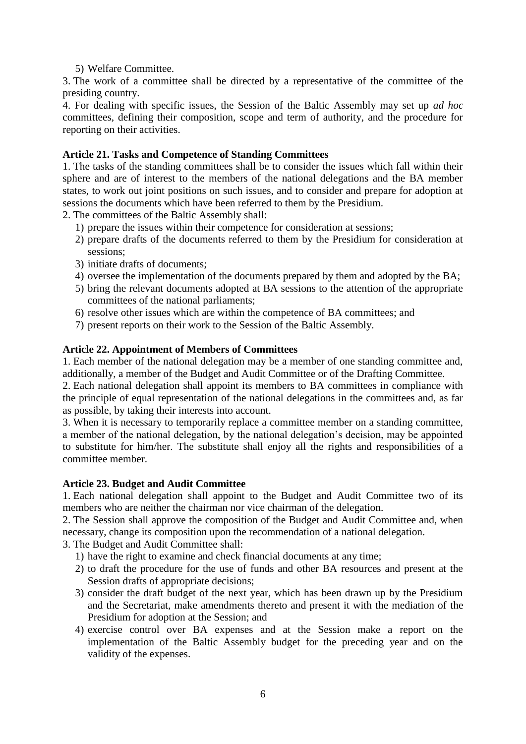5) Welfare Committee.

3. The work of a committee shall be directed by a representative of the committee of the presiding country.

4. For dealing with specific issues, the Session of the Baltic Assembly may set up *ad hoc*  committees, defining their composition, scope and term of authority, and the procedure for reporting on their activities.

# **Article 21. Tasks and Competence of Standing Committees**

1. The tasks of the standing committees shall be to consider the issues which fall within their sphere and are of interest to the members of the national delegations and the BA member states, to work out joint positions on such issues, and to consider and prepare for adoption at sessions the documents which have been referred to them by the Presidium.

2. The committees of the Baltic Assembly shall:

- 1) prepare the issues within their competence for consideration at sessions;
- 2) prepare drafts of the documents referred to them by the Presidium for consideration at sessions;
- 3) initiate drafts of documents;
- 4) oversee the implementation of the documents prepared by them and adopted by the BA;
- 5) bring the relevant documents adopted at BA sessions to the attention of the appropriate committees of the national parliaments;
- 6) resolve other issues which are within the competence of BA committees; and
- 7) present reports on their work to the Session of the Baltic Assembly.

## **Article 22. Appointment of Members of Committees**

1. Each member of the national delegation may be a member of one standing committee and, additionally, a member of the Budget and Audit Committee or of the Drafting Committee.

2. Each national delegation shall appoint its members to BA committees in compliance with the principle of equal representation of the national delegations in the committees and, as far as possible, by taking their interests into account.

3. When it is necessary to temporarily replace a committee member on a standing committee, a member of the national delegation, by the national delegation's decision, may be appointed to substitute for him/her. The substitute shall enjoy all the rights and responsibilities of a committee member.

### **Article 23. Budget and Audit Committee**

1. Each national delegation shall appoint to the Budget and Audit Committee two of its members who are neither the chairman nor vice chairman of the delegation.

2. The Session shall approve the composition of the Budget and Audit Committee and, when necessary, change its composition upon the recommendation of a national delegation.

3. The Budget and Audit Committee shall:

- 1) have the right to examine and check financial documents at any time;
- 2) to draft the procedure for the use of funds and other BA resources and present at the Session drafts of appropriate decisions;
- 3) consider the draft budget of the next year, which has been drawn up by the Presidium and the Secretariat, make amendments thereto and present it with the mediation of the Presidium for adoption at the Session; and
- 4) exercise control over BA expenses and at the Session make a report on the implementation of the Baltic Assembly budget for the preceding year and on the validity of the expenses.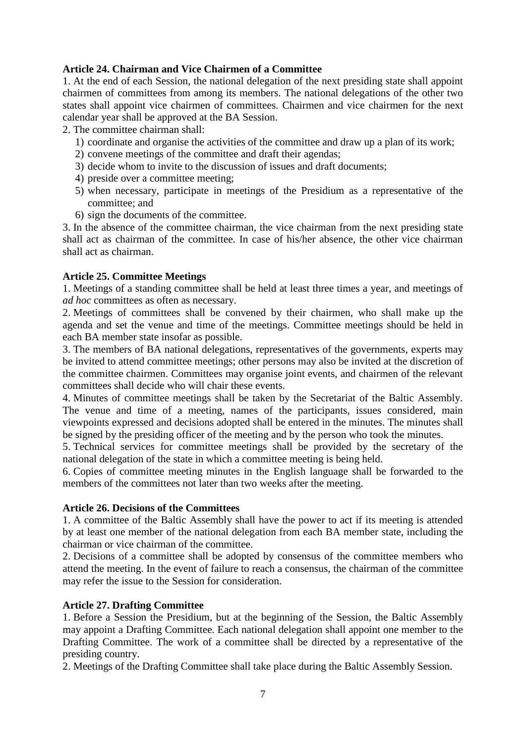# **Article 24. Chairman and Vice Chairmen of a Committee**

1. At the end of each Session, the national delegation of the next presiding state shall appoint chairmen of committees from among its members. The national delegations of the other two states shall appoint vice chairmen of committees. Chairmen and vice chairmen for the next calendar year shall be approved at the BA Session.

- 2. The committee chairman shall:
	- 1) coordinate and organise the activities of the committee and draw up a plan of its work;
	- 2) convene meetings of the committee and draft their agendas;
	- 3) decide whom to invite to the discussion of issues and draft documents;
	- 4) preside over a committee meeting;
	- 5) when necessary, participate in meetings of the Presidium as a representative of the committee; and
	- 6) sign the documents of the committee.

3. In the absence of the committee chairman, the vice chairman from the next presiding state shall act as chairman of the committee. In case of his/her absence, the other vice chairman shall act as chairman.

## **Article 25. Committee Meetings**

1. Meetings of a standing committee shall be held at least three times a year, and meetings of *ad hoc* committees as often as necessary.

2. Meetings of committees shall be convened by their chairmen, who shall make up the agenda and set the venue and time of the meetings. Committee meetings should be held in each BA member state insofar as possible.

3. The members of BA national delegations, representatives of the governments, experts may be invited to attend committee meetings; other persons may also be invited at the discretion of the committee chairmen. Committees may organise joint events, and chairmen of the relevant committees shall decide who will chair these events.

4. Minutes of committee meetings shall be taken by the Secretariat of the Baltic Assembly. The venue and time of a meeting, names of the participants, issues considered, main viewpoints expressed and decisions adopted shall be entered in the minutes. The minutes shall be signed by the presiding officer of the meeting and by the person who took the minutes.

5. Technical services for committee meetings shall be provided by the secretary of the national delegation of the state in which a committee meeting is being held.

6. Copies of committee meeting minutes in the English language shall be forwarded to the members of the committees not later than two weeks after the meeting.

### **Article 26. Decisions of the Committees**

1. A committee of the Baltic Assembly shall have the power to act if its meeting is attended by at least one member of the national delegation from each BA member state, including the chairman or vice chairman of the committee.

2. Decisions of a committee shall be adopted by consensus of the committee members who attend the meeting. In the event of failure to reach a consensus, the chairman of the committee may refer the issue to the Session for consideration.

# **Article 27. Drafting Committee**

1. Before a Session the Presidium, but at the beginning of the Session, the Baltic Assembly may appoint a Drafting Committee. Each national delegation shall appoint one member to the Drafting Committee. The work of a committee shall be directed by a representative of the presiding country.

2. Meetings of the Drafting Committee shall take place during the Baltic Assembly Session.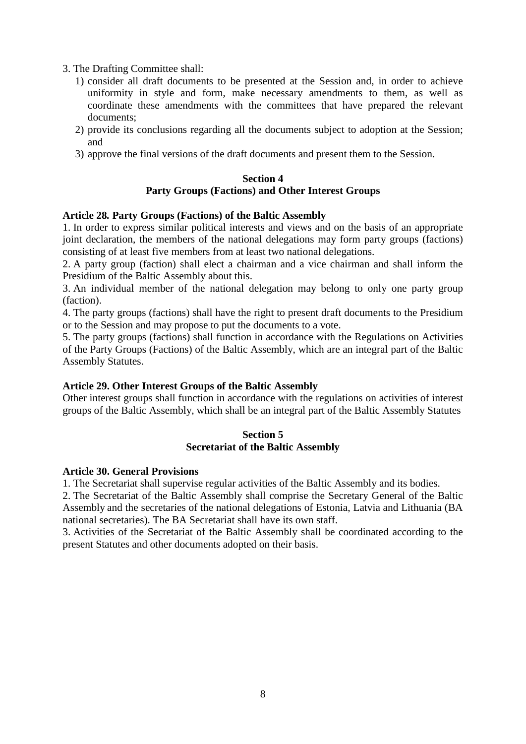- 3. The Drafting Committee shall:
	- 1) consider all draft documents to be presented at the Session and, in order to achieve uniformity in style and form, make necessary amendments to them, as well as coordinate these amendments with the committees that have prepared the relevant documents;
	- 2) provide its conclusions regarding all the documents subject to adoption at the Session; and
	- 3) approve the final versions of the draft documents and present them to the Session.

#### **Section 4 Party Groups (Factions) and Other Interest Groups**

#### **Article 28***.* **Party Groups (Factions) of the Baltic Assembly**

1. In order to express similar political interests and views and on the basis of an appropriate joint declaration, the members of the national delegations may form party groups (factions) consisting of at least five members from at least two national delegations.

2. A party group (faction) shall elect a chairman and a vice chairman and shall inform the Presidium of the Baltic Assembly about this.

3. An individual member of the national delegation may belong to only one party group (faction).

4. The party groups (factions) shall have the right to present draft documents to the Presidium or to the Session and may propose to put the documents to a vote.

5. The party groups (factions) shall function in accordance with the Regulations on Activities of the Party Groups (Factions) of the Baltic Assembly, which are an integral part of the Baltic Assembly Statutes.

### **Article 29. Other Interest Groups of the Baltic Assembly**

Other interest groups shall function in accordance with the regulations on activities of interest groups of the Baltic Assembly, which shall be an integral part of the Baltic Assembly Statutes

#### **Section 5 Secretariat of the Baltic Assembly**

#### **Article 30. General Provisions**

1. The Secretariat shall supervise regular activities of the Baltic Assembly and its bodies.

2. The Secretariat of the Baltic Assembly shall comprise the Secretary General of the Baltic Assembly and the secretaries of the national delegations of Estonia, Latvia and Lithuania (BA national secretaries). The BA Secretariat shall have its own staff.

3. Activities of the Secretariat of the Baltic Assembly shall be coordinated according to the present Statutes and other documents adopted on their basis.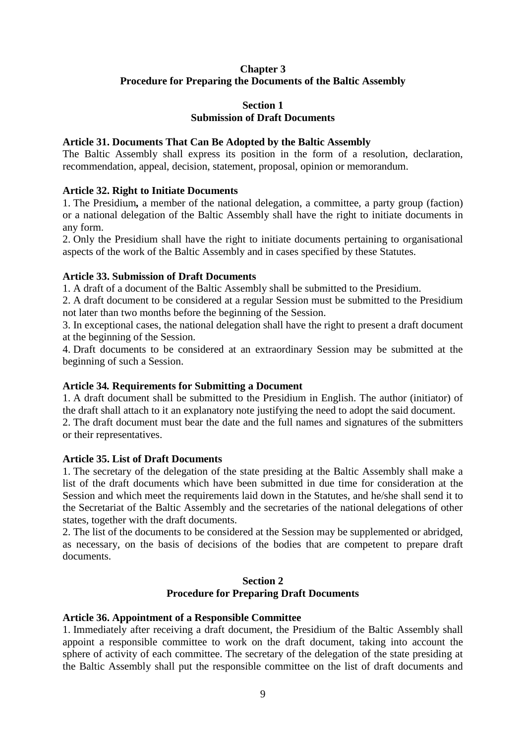# **Chapter 3 Procedure for Preparing the Documents of the Baltic Assembly**

## **Section 1 Submission of Draft Documents**

### **Article 31. Documents That Can Be Adopted by the Baltic Assembly**

The Baltic Assembly shall express its position in the form of a resolution, declaration, recommendation, appeal, decision, statement, proposal, opinion or memorandum.

#### **Article 32. Right to Initiate Documents**

1. The Presidium*,* a member of the national delegation, a committee, a party group (faction) or a national delegation of the Baltic Assembly shall have the right to initiate documents in any form.

2. Only the Presidium shall have the right to initiate documents pertaining to organisational aspects of the work of the Baltic Assembly and in cases specified by these Statutes.

#### **Article 33. Submission of Draft Documents**

1. A draft of a document of the Baltic Assembly shall be submitted to the Presidium.

2. A draft document to be considered at a regular Session must be submitted to the Presidium not later than two months before the beginning of the Session.

3. In exceptional cases, the national delegation shall have the right to present a draft document at the beginning of the Session.

4. Draft documents to be considered at an extraordinary Session may be submitted at the beginning of such a Session.

### **Article 34***.* **Requirements for Submitting a Document**

1. A draft document shall be submitted to the Presidium in English. The author (initiator) of the draft shall attach to it an explanatory note justifying the need to adopt the said document.

2. The draft document must bear the date and the full names and signatures of the submitters or their representatives.

### **Article 35. List of Draft Documents**

1. The secretary of the delegation of the state presiding at the Baltic Assembly shall make a list of the draft documents which have been submitted in due time for consideration at the Session and which meet the requirements laid down in the Statutes, and he/she shall send it to the Secretariat of the Baltic Assembly and the secretaries of the national delegations of other states, together with the draft documents.

2. The list of the documents to be considered at the Session may be supplemented or abridged, as necessary, on the basis of decisions of the bodies that are competent to prepare draft documents.

#### **Section 2 Procedure for Preparing Draft Documents**

#### **Article 36. Appointment of a Responsible Committee**

1. Immediately after receiving a draft document, the Presidium of the Baltic Assembly shall appoint a responsible committee to work on the draft document, taking into account the sphere of activity of each committee. The secretary of the delegation of the state presiding at the Baltic Assembly shall put the responsible committee on the list of draft documents and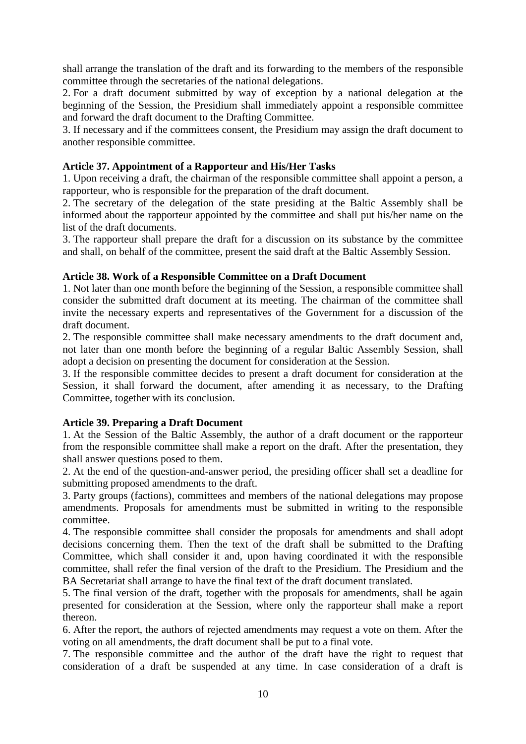shall arrange the translation of the draft and its forwarding to the members of the responsible committee through the secretaries of the national delegations.

2. For a draft document submitted by way of exception by a national delegation at the beginning of the Session, the Presidium shall immediately appoint a responsible committee and forward the draft document to the Drafting Committee.

3. If necessary and if the committees consent, the Presidium may assign the draft document to another responsible committee.

# **Article 37. Appointment of a Rapporteur and His/Her Tasks**

1. Upon receiving a draft, the chairman of the responsible committee shall appoint a person, a rapporteur, who is responsible for the preparation of the draft document.

2. The secretary of the delegation of the state presiding at the Baltic Assembly shall be informed about the rapporteur appointed by the committee and shall put his/her name on the list of the draft documents.

3. The rapporteur shall prepare the draft for a discussion on its substance by the committee and shall, on behalf of the committee, present the said draft at the Baltic Assembly Session.

# **Article 38. Work of a Responsible Committee on a Draft Document**

1. Not later than one month before the beginning of the Session, a responsible committee shall consider the submitted draft document at its meeting. The chairman of the committee shall invite the necessary experts and representatives of the Government for a discussion of the draft document.

2. The responsible committee shall make necessary amendments to the draft document and, not later than one month before the beginning of a regular Baltic Assembly Session, shall adopt a decision on presenting the document for consideration at the Session.

3. If the responsible committee decides to present a draft document for consideration at the Session, it shall forward the document, after amending it as necessary, to the Drafting Committee, together with its conclusion.

# **Article 39. Preparing a Draft Document**

1. At the Session of the Baltic Assembly, the author of a draft document or the rapporteur from the responsible committee shall make a report on the draft. After the presentation, they shall answer questions posed to them.

2. At the end of the question-and-answer period, the presiding officer shall set a deadline for submitting proposed amendments to the draft.

3. Party groups (factions), committees and members of the national delegations may propose amendments. Proposals for amendments must be submitted in writing to the responsible committee.

4. The responsible committee shall consider the proposals for amendments and shall adopt decisions concerning them. Then the text of the draft shall be submitted to the Drafting Committee, which shall consider it and, upon having coordinated it with the responsible committee, shall refer the final version of the draft to the Presidium. The Presidium and the BA Secretariat shall arrange to have the final text of the draft document translated.

5. The final version of the draft, together with the proposals for amendments, shall be again presented for consideration at the Session, where only the rapporteur shall make a report thereon.

6. After the report, the authors of rejected amendments may request a vote on them. After the voting on all amendments, the draft document shall be put to a final vote.

7. The responsible committee and the author of the draft have the right to request that consideration of a draft be suspended at any time. In case consideration of a draft is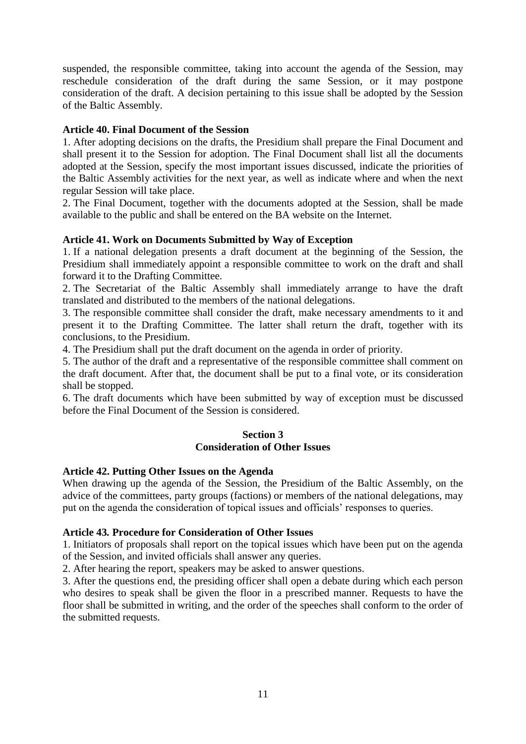suspended, the responsible committee, taking into account the agenda of the Session, may reschedule consideration of the draft during the same Session, or it may postpone consideration of the draft. A decision pertaining to this issue shall be adopted by the Session of the Baltic Assembly.

## **Article 40. Final Document of the Session**

1. After adopting decisions on the drafts, the Presidium shall prepare the Final Document and shall present it to the Session for adoption. The Final Document shall list all the documents adopted at the Session, specify the most important issues discussed, indicate the priorities of the Baltic Assembly activities for the next year, as well as indicate where and when the next regular Session will take place.

2. The Final Document, together with the documents adopted at the Session, shall be made available to the public and shall be entered on the BA website on the Internet.

## **Article 41. Work on Documents Submitted by Way of Exception**

1. If a national delegation presents a draft document at the beginning of the Session, the Presidium shall immediately appoint a responsible committee to work on the draft and shall forward it to the Drafting Committee.

2. The Secretariat of the Baltic Assembly shall immediately arrange to have the draft translated and distributed to the members of the national delegations.

3. The responsible committee shall consider the draft, make necessary amendments to it and present it to the Drafting Committee. The latter shall return the draft, together with its conclusions, to the Presidium.

4. The Presidium shall put the draft document on the agenda in order of priority.

5. The author of the draft and a representative of the responsible committee shall comment on the draft document. After that, the document shall be put to a final vote, or its consideration shall be stopped.

6. The draft documents which have been submitted by way of exception must be discussed before the Final Document of the Session is considered.

## **Section 3 Consideration of Other Issues**

### **Article 42. Putting Other Issues on the Agenda**

When drawing up the agenda of the Session, the Presidium of the Baltic Assembly, on the advice of the committees, party groups (factions) or members of the national delegations, may put on the agenda the consideration of topical issues and officials' responses to queries.

### **Article 43***.* **Procedure for Consideration of Other Issues**

1. Initiators of proposals shall report on the topical issues which have been put on the agenda of the Session, and invited officials shall answer any queries.

2. After hearing the report, speakers may be asked to answer questions.

3. After the questions end, the presiding officer shall open a debate during which each person who desires to speak shall be given the floor in a prescribed manner. Requests to have the floor shall be submitted in writing, and the order of the speeches shall conform to the order of the submitted requests.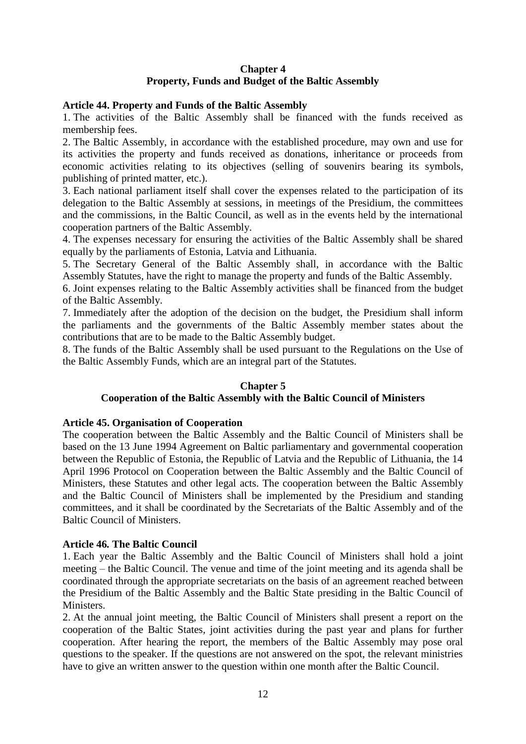# **Chapter 4 Property, Funds and Budget of the Baltic Assembly**

# **Article 44. Property and Funds of the Baltic Assembly**

1. The activities of the Baltic Assembly shall be financed with the funds received as membership fees.

2. The Baltic Assembly, in accordance with the established procedure, may own and use for its activities the property and funds received as donations, inheritance or proceeds from economic activities relating to its objectives (selling of souvenirs bearing its symbols, publishing of printed matter, etc.).

3. Each national parliament itself shall cover the expenses related to the participation of its delegation to the Baltic Assembly at sessions, in meetings of the Presidium, the committees and the commissions, in the Baltic Council, as well as in the events held by the international cooperation partners of the Baltic Assembly.

4. The expenses necessary for ensuring the activities of the Baltic Assembly shall be shared equally by the parliaments of Estonia, Latvia and Lithuania.

5. The Secretary General of the Baltic Assembly shall, in accordance with the Baltic Assembly Statutes, have the right to manage the property and funds of the Baltic Assembly.

6. Joint expenses relating to the Baltic Assembly activities shall be financed from the budget of the Baltic Assembly.

7. Immediately after the adoption of the decision on the budget, the Presidium shall inform the parliaments and the governments of the Baltic Assembly member states about the contributions that are to be made to the Baltic Assembly budget.

8. The funds of the Baltic Assembly shall be used pursuant to the Regulations on the Use of the Baltic Assembly Funds, which are an integral part of the Statutes.

### **Chapter 5**

### **Cooperation of the Baltic Assembly with the Baltic Council of Ministers**

### **Article 45. Organisation of Cooperation**

The cooperation between the Baltic Assembly and the Baltic Council of Ministers shall be based on the 13 June 1994 Agreement on Baltic parliamentary and governmental cooperation between the Republic of Estonia, the Republic of Latvia and the Republic of Lithuania, the 14 April 1996 Protocol on Cooperation between the Baltic Assembly and the Baltic Council of Ministers, these Statutes and other legal acts. The cooperation between the Baltic Assembly and the Baltic Council of Ministers shall be implemented by the Presidium and standing committees, and it shall be coordinated by the Secretariats of the Baltic Assembly and of the Baltic Council of Ministers.

### **Article 46***.* **The Baltic Council**

1. Each year the Baltic Assembly and the Baltic Council of Ministers shall hold a joint meeting – the Baltic Council. The venue and time of the joint meeting and its agenda shall be coordinated through the appropriate secretariats on the basis of an agreement reached between the Presidium of the Baltic Assembly and the Baltic State presiding in the Baltic Council of Ministers.

2. At the annual joint meeting, the Baltic Council of Ministers shall present a report on the cooperation of the Baltic States, joint activities during the past year and plans for further cooperation. After hearing the report, the members of the Baltic Assembly may pose oral questions to the speaker. If the questions are not answered on the spot, the relevant ministries have to give an written answer to the question within one month after the Baltic Council.